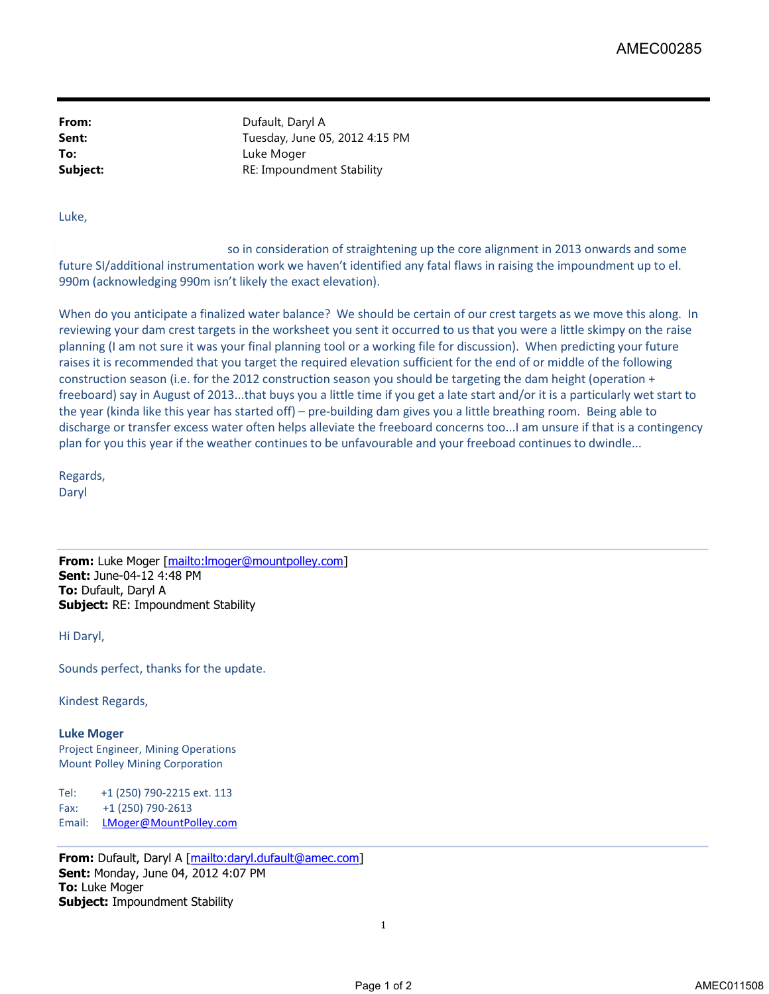**From:** Dufault, Daryl A **Sent:** Tuesday, June 05, 2012 4:15 PM **To:** Luke Moger **Subject: RE:** Impoundment Stability

Luke,

 so in consideration of straightening up the core alignment in 2013 onwards and some future SI/additional instrumentation work we haven't identified any fatal flaws in raising the impoundment up to el. 990m (acknowledging 990m isn't likely the exact elevation).

When do you anticipate a finalized water balance? We should be certain of our crest targets as we move this along. In reviewing your dam crest targets in the worksheet you sent it occurred to us that you were a little skimpy on the raise planning (I am not sure it was your final planning tool or a working file for discussion). When predicting your future raises it is recommended that you target the required elevation sufficient for the end of or middle of the following construction season (i.e. for the 2012 construction season you should be targeting the dam height (operation + freeboard) say in August of 2013...that buys you a little time if you get a late start and/or it is a particularly wet start to the year (kinda like this year has started off) – pre-building dam gives you a little breathing room. Being able to discharge or transfer excess water often helps alleviate the freeboard concerns too...I am unsure if that is a contingency plan for you this year if the weather continues to be unfavourable and your freeboad continues to dwindle... AMECO0285<br>
2 4:15 PM<br>
Traightening up the core alignment in 2013 anwards and some<br>
reintified any folal flave in raising the impoundment up to el.<br>
should be estrain of our crest targets as we move this along. In<br>
should b

Regards, Daryl

**From:** Luke Moger [mailto:lmoger@mountpolley.com] **Sent:** June-04-12 4:48 PM **To:** Dufault, Daryl A **Subject:** RE: Impoundment Stability

Hi Daryl,

Sounds perfect, thanks for the update.

Kindest Regards,

## **Luke Moger**

Project Engineer, Mining Operations Mount Polley Mining Corporation

Tel: +1 (250) 790-2215 ext. 113 Fax: +1 (250) 790-2613 Email: LMoger@MountPolley.com

**From:** Dufault, Daryl A [mailto:daryl.dufault@amec.com] **Sent:** Monday, June 04, 2012 4:07 PM **To:** Luke Moger **Subject:** Impoundment Stability